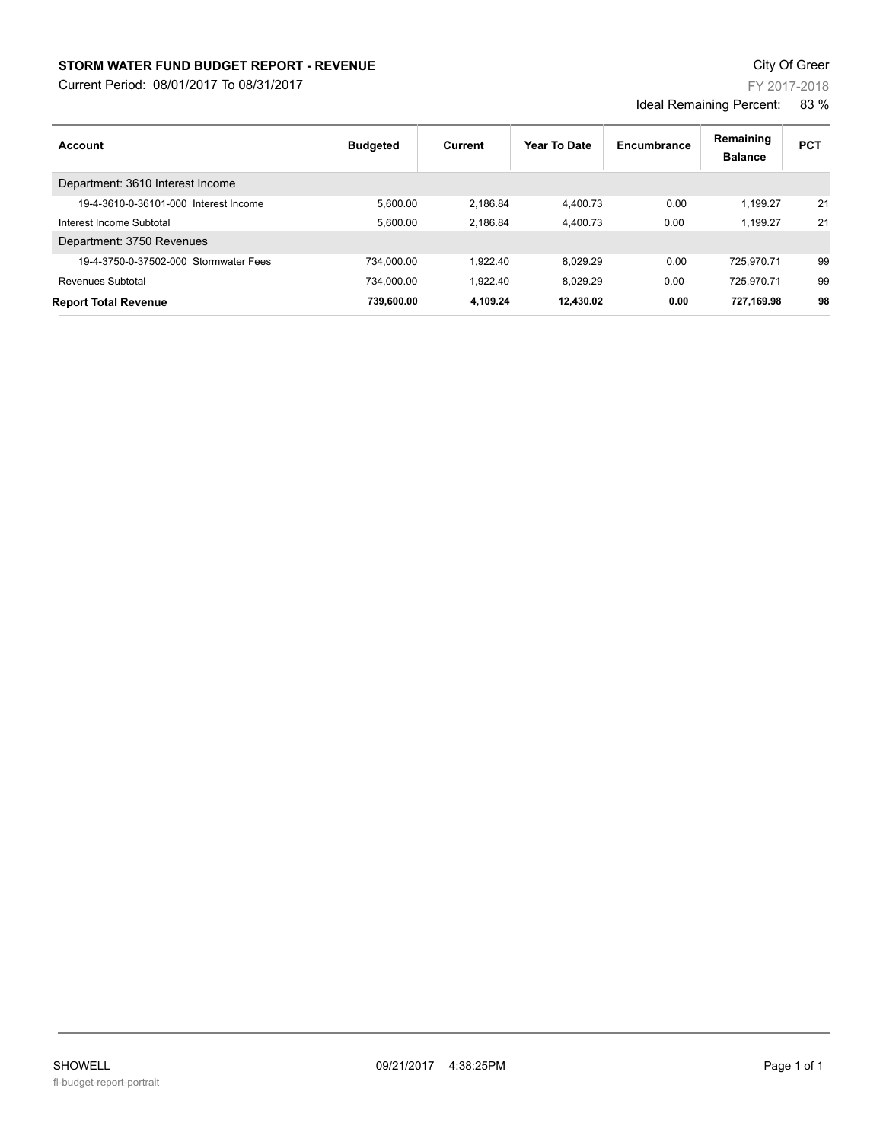## **STORM WATER FUND BUDGET REPORT - REVENUE CONTEXT AND REPORT - REVENUE**

Current Period: 08/01/2017 To 08/31/2017

| <b>Domaining</b> |  |
|------------------|--|

Ideal Remaining Percent: 83 %

| Account                               | <b>Budgeted</b> | Current  | Year To Date | Encumbrance | Remaining<br><b>Balance</b> | <b>PCT</b> |
|---------------------------------------|-----------------|----------|--------------|-------------|-----------------------------|------------|
| Department: 3610 Interest Income      |                 |          |              |             |                             |            |
| 19-4-3610-0-36101-000 Interest Income | 5.600.00        | 2.186.84 | 4.400.73     | 0.00        | 1.199.27                    | 21         |
| Interest Income Subtotal              | 5.600.00        | 2.186.84 | 4.400.73     | 0.00        | 1.199.27                    | 21         |
| Department: 3750 Revenues             |                 |          |              |             |                             |            |
| 19-4-3750-0-37502-000 Stormwater Fees | 734.000.00      | 1.922.40 | 8.029.29     | 0.00        | 725.970.71                  | 99         |
| Revenues Subtotal                     | 734,000.00      | 1.922.40 | 8.029.29     | 0.00        | 725.970.71                  | 99         |
| <b>Report Total Revenue</b>           | 739.600.00      | 4.109.24 | 12,430.02    | 0.00        | 727,169.98                  | 98         |

## FY 2017-2018